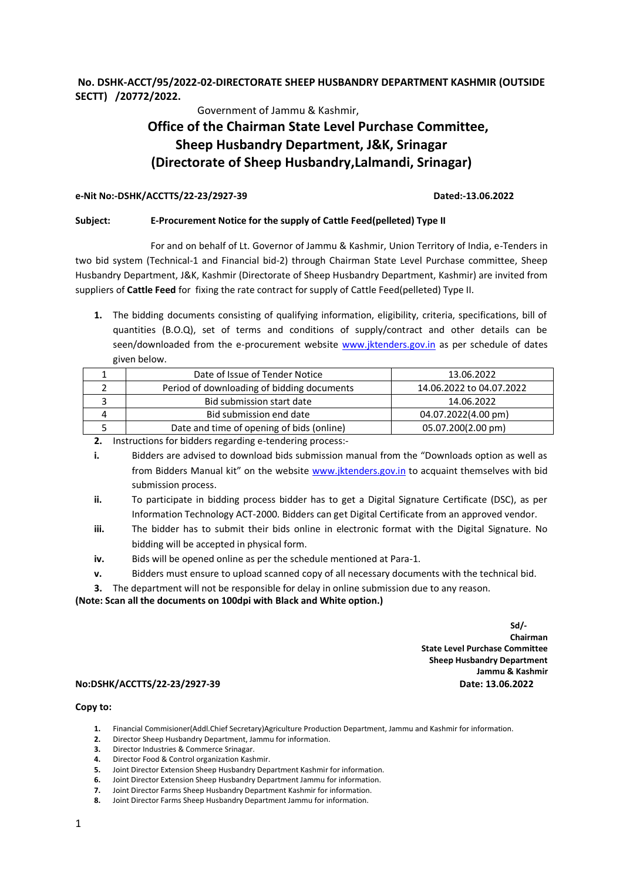#### **No. DSHK-ACCT/95/2022-02-DIRECTORATE SHEEP HUSBANDRY DEPARTMENT KASHMIR (OUTSIDE SECTT) /20772/2022.**

Government of Jammu & Kashmir,

## **Office of the Chairman State Level Purchase Committee, Sheep Husbandry Department, J&K, Srinagar (Directorate of Sheep Husbandry,Lalmandi, Srinagar)**

#### **e-Nit No:-DSHK/ACCTTS/22-23/2927-39 Dated:-13.06.2022**

#### **Subject: E-Procurement Notice for the supply of Cattle Feed(pelleted) Type II**

For and on behalf of Lt. Governor of Jammu & Kashmir, Union Territory of India, e-Tenders in two bid system (Technical-1 and Financial bid-2) through Chairman State Level Purchase committee, Sheep Husbandry Department, J&K, Kashmir (Directorate of Sheep Husbandry Department, Kashmir) are invited from suppliers of **Cattle Feed** for fixing the rate contract for supply of Cattle Feed(pelleted) Type II.

**1.** The bidding documents consisting of qualifying information, eligibility, criteria, specifications, bill of quantities (B.O.Q), set of terms and conditions of supply/contract and other details can be seen/downloaded from the e-procurement website [www.jktenders.gov.in](http://www.jktenders.gov.in/) as per schedule of dates given below.

|  | Date of Issue of Tender Notice<br>13.06.2022   |                          |  |
|--|------------------------------------------------|--------------------------|--|
|  | Period of downloading of bidding documents     | 14.06.2022 to 04.07.2022 |  |
|  | Bid submission start date                      | 14.06.2022               |  |
|  | 04.07.2022(4.00 pm)<br>Bid submission end date |                          |  |
|  | Date and time of opening of bids (online)      | 05.07.200(2.00 pm)       |  |
|  |                                                |                          |  |

**2.** Instructions for bidders regarding e-tendering process:-

- **i.** Bidders are advised to download bids submission manual from the "Downloads option as well as from Bidders Manual kit" on the website [www.jktenders.gov.in](http://www.jktenders.gov.in/) to acquaint themselves with bid submission process.
- **ii.** To participate in bidding process bidder has to get a Digital Signature Certificate (DSC), as per Information Technology ACT-2000. Bidders can get Digital Certificate from an approved vendor.
- **iii.** The bidder has to submit their bids online in electronic format with the Digital Signature. No bidding will be accepted in physical form.
- **iv.** Bids will be opened online as per the schedule mentioned at Para-1.
- **v.** Bidders must ensure to upload scanned copy of all necessary documents with the technical bid.
- **3.** The department will not be responsible for delay in online submission due to any reason.

**(Note: Scan all the documents on 100dpi with Black and White option.)**

**Sd/- Sd/- Sd/- Sd/- Sd/- Sd/- Sd/- Sd/- Sd/- Sd/- Sd/- Sd/- Sd/- Sd/- Sd/- Sd/- Sd/- Sd/- Sd/- Sd/- Sd/- Sd/- Sd/- Sd/- Sd/- Sd/- Sd/- Sd/- Sd/- Sd/- Sd/- Sd/-Chairman State Level Purchase Committee Sheep Husbandry Department Jammu & Kashmir**

#### **No:DSHK/ACCTTS/22-23/2927-39 Date: 13.06.2022**

#### **Copy to:**

- **1.** Financial Commisioner(Addl.Chief Secretary)Agriculture Production Department, Jammu and Kashmir for information.
- **2.** Director Sheep Husbandry Department, Jammu for information.
- **3.** Director Industries & Commerce Srinagar.
- **4.** Director Food & Control organization Kashmir.
- **5.** Joint Director Extension Sheep Husbandry Department Kashmir for information.
- **6.** Joint Director Extension Sheep Husbandry Department Jammu for information.
- **7.** Joint Director Farms Sheep Husbandry Department Kashmir for information.
- **8.** Joint Director Farms Sheep Husbandry Department Jammu for information.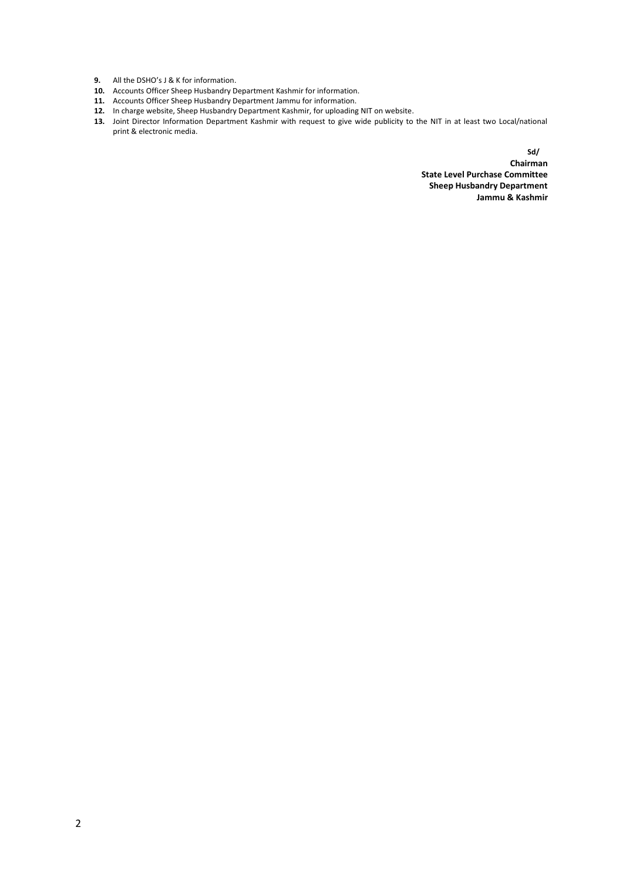- **9.** All the DSHO's J & K for information.
- **10.** Accounts Officer Sheep Husbandry Department Kashmir for information.
- **11.** Accounts Officer Sheep Husbandry Department Jammu for information.
- **12.** In charge website, Sheep Husbandry Department Kashmir, for uploading NIT on website.
- **13.** Joint Director Information Department Kashmir with request to give wide publicity to the NIT in at least two Local/national print & electronic media.

**Sd/**

**Chairman State Level Purchase Committee Sheep Husbandry Department Jammu & Kashmir**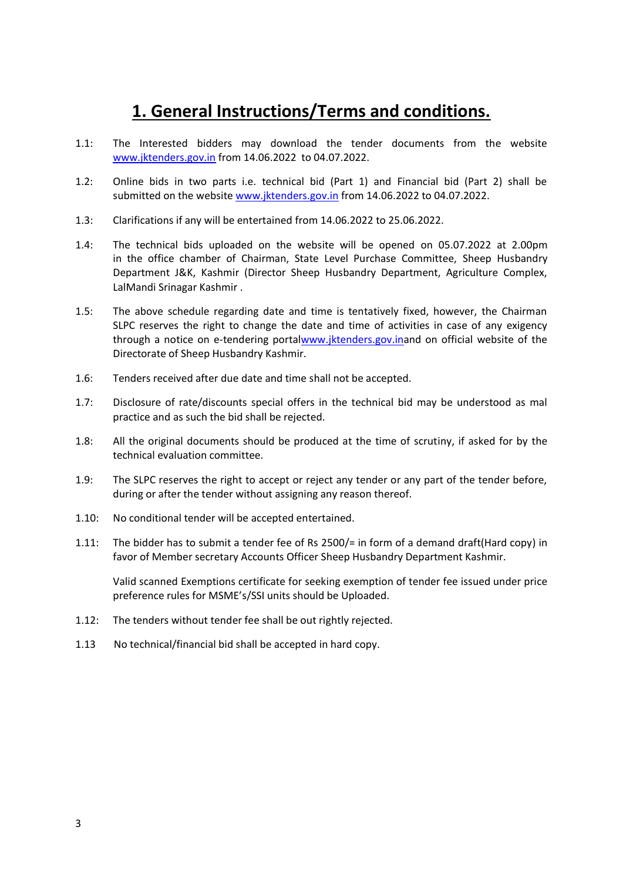# **1. General Instructions/Terms and conditions.**

- 1.1: The Interested bidders may download the tender documents from the website [www.jktenders.gov.in](http://www.jktenders.gov.in/) from 14.06.2022 to 04.07.2022.
- 1.2: Online bids in two parts i.e. technical bid (Part 1) and Financial bid (Part 2) shall be submitted on the website [www.jktenders.gov.in](http://www.jktenders.gov.in/) from 14.06.2022 to 04.07.2022.
- 1.3: Clarifications if any will be entertained from 14.06.2022 to 25.06.2022.
- 1.4: The technical bids uploaded on the website will be opened on 05.07.2022 at 2.00pm in the office chamber of Chairman, State Level Purchase Committee, Sheep Husbandry Department J&K, Kashmir (Director Sheep Husbandry Department, Agriculture Complex, LalMandi Srinagar Kashmir .
- 1.5: The above schedule regarding date and time is tentatively fixed, however, the Chairman SLPC reserves the right to change the date and time of activities in case of any exigency through a notice on e-tendering port[alwww.jktenders.gov.ina](http://www.jktenders.gov.in/)nd on official website of the Directorate of Sheep Husbandry Kashmir.
- 1.6: Tenders received after due date and time shall not be accepted.
- 1.7: Disclosure of rate/discounts special offers in the technical bid may be understood as mal practice and as such the bid shall be rejected.
- 1.8: All the original documents should be produced at the time of scrutiny, if asked for by the technical evaluation committee.
- 1.9: The SLPC reserves the right to accept or reject any tender or any part of the tender before, during or after the tender without assigning any reason thereof.
- 1.10: No conditional tender will be accepted entertained.
- 1.11: The bidder has to submit a tender fee of Rs 2500/= in form of a demand draft(Hard copy) in favor of Member secretary Accounts Officer Sheep Husbandry Department Kashmir.

Valid scanned Exemptions certificate for seeking exemption of tender fee issued under price preference rules for MSME's/SSI units should be Uploaded.

- 1.12: The tenders without tender fee shall be out rightly rejected.
- 1.13 No technical/financial bid shall be accepted in hard copy.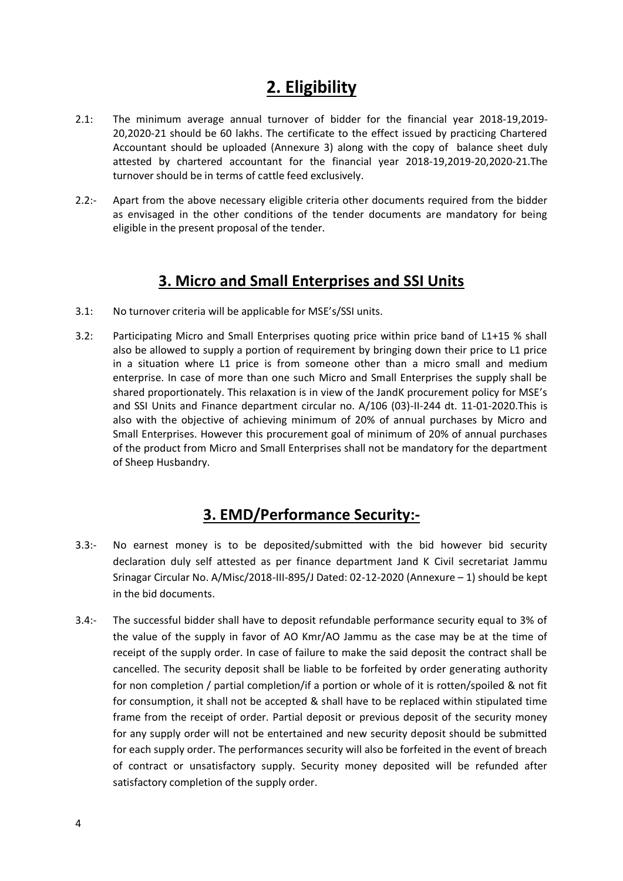# **2. Eligibility**

- 2.1: The minimum average annual turnover of bidder for the financial year 2018-19,2019- 20,2020-21 should be 60 lakhs. The certificate to the effect issued by practicing Chartered Accountant should be uploaded (Annexure 3) along with the copy of balance sheet duly attested by chartered accountant for the financial year 2018-19,2019-20,2020-21.The turnover should be in terms of cattle feed exclusively.
- 2.2:- Apart from the above necessary eligible criteria other documents required from the bidder as envisaged in the other conditions of the tender documents are mandatory for being eligible in the present proposal of the tender.

### **3. Micro and Small Enterprises and SSI Units**

- 3.1: No turnover criteria will be applicable for MSE's/SSI units.
- 3.2: Participating Micro and Small Enterprises quoting price within price band of L1+15 % shall also be allowed to supply a portion of requirement by bringing down their price to L1 price in a situation where L1 price is from someone other than a micro small and medium enterprise. In case of more than one such Micro and Small Enterprises the supply shall be shared proportionately. This relaxation is in view of the JandK procurement policy for MSE's and SSI Units and Finance department circular no. A/106 (03)-II-244 dt. 11-01-2020.This is also with the objective of achieving minimum of 20% of annual purchases by Micro and Small Enterprises. However this procurement goal of minimum of 20% of annual purchases of the product from Micro and Small Enterprises shall not be mandatory for the department of Sheep Husbandry.

# **3. EMD/Performance Security:-**

- 3.3:- No earnest money is to be deposited/submitted with the bid however bid security declaration duly self attested as per finance department Jand K Civil secretariat Jammu Srinagar Circular No. A/Misc/2018-III-895/J Dated: 02-12-2020 (Annexure – 1) should be kept in the bid documents.
- 3.4:- The successful bidder shall have to deposit refundable performance security equal to 3% of the value of the supply in favor of AO Kmr/AO Jammu as the case may be at the time of receipt of the supply order. In case of failure to make the said deposit the contract shall be cancelled. The security deposit shall be liable to be forfeited by order generating authority for non completion / partial completion/if a portion or whole of it is rotten/spoiled & not fit for consumption, it shall not be accepted & shall have to be replaced within stipulated time frame from the receipt of order. Partial deposit or previous deposit of the security money for any supply order will not be entertained and new security deposit should be submitted for each supply order. The performances security will also be forfeited in the event of breach of contract or unsatisfactory supply. Security money deposited will be refunded after satisfactory completion of the supply order.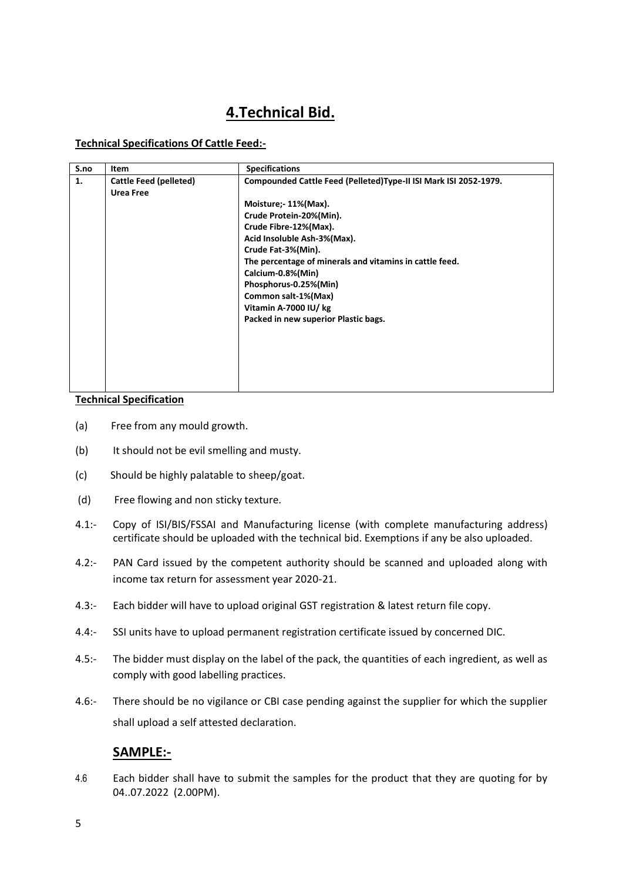# **4.Technical Bid.**

#### **Technical Specifications Of Cattle Feed:-**

| S.no | <b>Item</b>                   | <b>Specifications</b>                                             |
|------|-------------------------------|-------------------------------------------------------------------|
| 1.   | <b>Cattle Feed (pelleted)</b> | Compounded Cattle Feed (Pelleted) Type-II ISI Mark ISI 2052-1979. |
|      | <b>Urea Free</b>              |                                                                   |
|      |                               | Moisture; - 11% (Max).                                            |
|      |                               | Crude Protein-20%(Min).                                           |
|      |                               | Crude Fibre-12%(Max).                                             |
|      |                               | Acid Insoluble Ash-3%(Max).                                       |
|      |                               | Crude Fat-3%(Min).                                                |
|      |                               | The percentage of minerals and vitamins in cattle feed.           |
|      |                               | Calcium-0.8%(Min)                                                 |
|      |                               | Phosphorus-0.25%(Min)                                             |
|      |                               | Common salt-1%(Max)                                               |
|      |                               | Vitamin A-7000 IU/ kg                                             |
|      |                               | Packed in new superior Plastic bags.                              |
|      |                               |                                                                   |
|      |                               |                                                                   |
|      |                               |                                                                   |
|      |                               |                                                                   |
|      |                               |                                                                   |
|      |                               |                                                                   |

#### **Technical Specification**

- (a) Free from any mould growth.
- (b) It should not be evil smelling and musty.
- (c) Should be highly palatable to sheep/goat.
- (d) Free flowing and non sticky texture.
- 4.1:- Copy of ISI/BIS/FSSAI and Manufacturing license (with complete manufacturing address) certificate should be uploaded with the technical bid. Exemptions if any be also uploaded.
- 4.2:- PAN Card issued by the competent authority should be scanned and uploaded along with income tax return for assessment year 2020-21.
- 4.3:- Each bidder will have to upload original GST registration & latest return file copy.
- 4.4:- SSI units have to upload permanent registration certificate issued by concerned DIC.
- 4.5:- The bidder must display on the label of the pack, the quantities of each ingredient, as well as comply with good labelling practices.
- 4.6:- There should be no vigilance or CBI case pending against the supplier for which the supplier shall upload a self attested declaration.

### **SAMPLE:-**

4.6 Each bidder shall have to submit the samples for the product that they are quoting for by 04..07.2022 (2.00PM).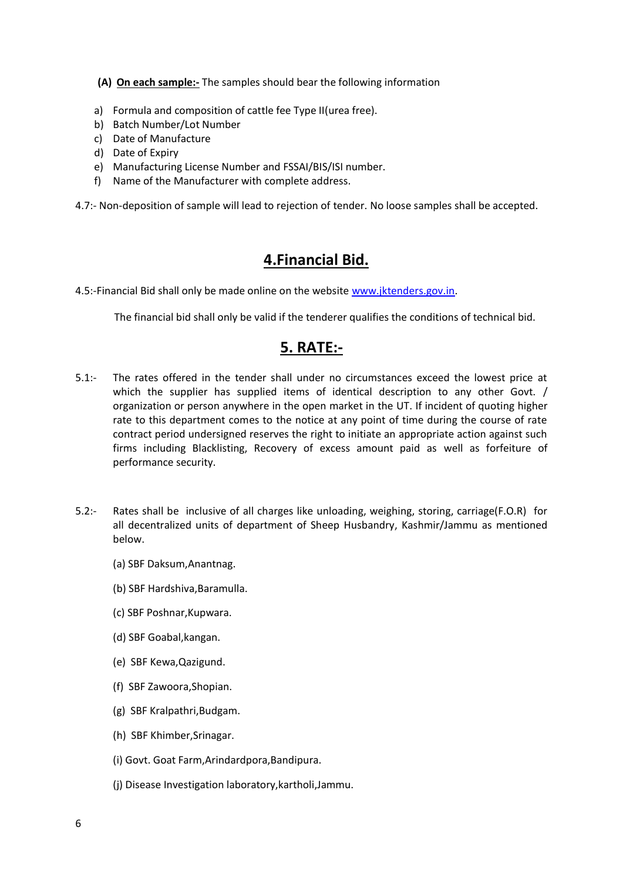**(A) On each sample:-** The samples should bear the following information

- a) Formula and composition of cattle fee Type II(urea free).
- b) Batch Number/Lot Number
- c) Date of Manufacture
- d) Date of Expiry
- e) Manufacturing License Number and FSSAI/BIS/ISI number.
- f) Name of the Manufacturer with complete address.

4.7:- Non-deposition of sample will lead to rejection of tender. No loose samples shall be accepted.

### **4.Financial Bid.**

4.5:-Financial Bid shall only be made online on the website [www.jktenders.gov.in.](http://www.jktenders.gov.in/)

The financial bid shall only be valid if the tenderer qualifies the conditions of technical bid.

# **5. RATE:-**

- 5.1:- The rates offered in the tender shall under no circumstances exceed the lowest price at which the supplier has supplied items of identical description to any other Govt. / organization or person anywhere in the open market in the UT. If incident of quoting higher rate to this department comes to the notice at any point of time during the course of rate contract period undersigned reserves the right to initiate an appropriate action against such firms including Blacklisting, Recovery of excess amount paid as well as forfeiture of performance security.
- 5.2:- Rates shall be inclusive of all charges like unloading, weighing, storing, carriage(F.O.R) for all decentralized units of department of Sheep Husbandry, Kashmir/Jammu as mentioned below.
	- (a) SBF Daksum,Anantnag.
	- (b) SBF Hardshiva,Baramulla.
	- (c) SBF Poshnar,Kupwara.
	- (d) SBF Goabal,kangan.
	- (e) SBF Kewa,Qazigund.
	- (f) SBF Zawoora,Shopian.
	- (g) SBF Kralpathri,Budgam.
	- (h) SBF Khimber,Srinagar.
	- (i) Govt. Goat Farm,Arindardpora,Bandipura.
	- (j) Disease Investigation laboratory,kartholi,Jammu.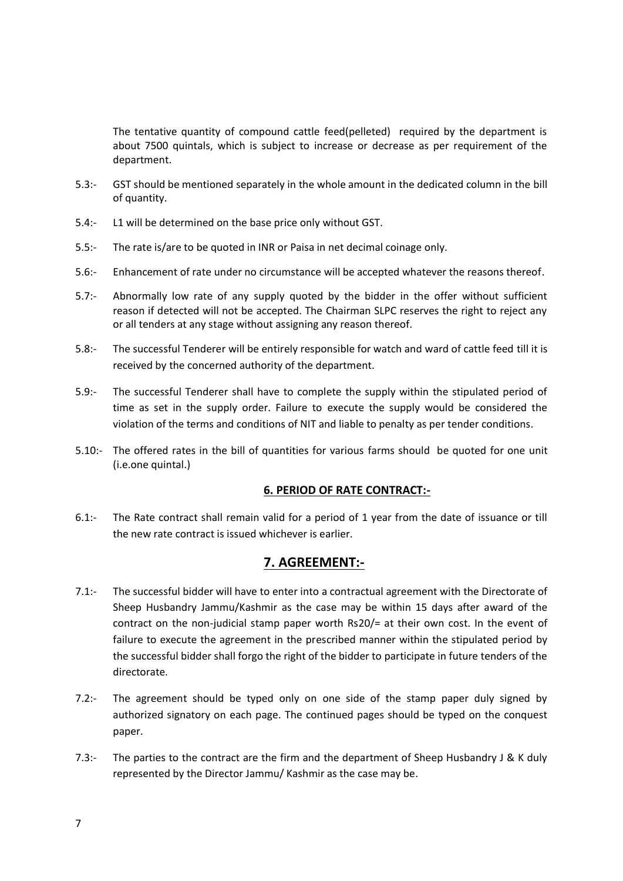The tentative quantity of compound cattle feed(pelleted) required by the department is about 7500 quintals, which is subject to increase or decrease as per requirement of the department.

- 5.3:- GST should be mentioned separately in the whole amount in the dedicated column in the bill of quantity.
- 5.4:- L1 will be determined on the base price only without GST.
- 5.5:- The rate is/are to be quoted in INR or Paisa in net decimal coinage only.
- 5.6:- Enhancement of rate under no circumstance will be accepted whatever the reasons thereof.
- 5.7:- Abnormally low rate of any supply quoted by the bidder in the offer without sufficient reason if detected will not be accepted. The Chairman SLPC reserves the right to reject any or all tenders at any stage without assigning any reason thereof.
- 5.8:- The successful Tenderer will be entirely responsible for watch and ward of cattle feed till it is received by the concerned authority of the department.
- 5.9:- The successful Tenderer shall have to complete the supply within the stipulated period of time as set in the supply order. Failure to execute the supply would be considered the violation of the terms and conditions of NIT and liable to penalty as per tender conditions.
- 5.10:- The offered rates in the bill of quantities for various farms should be quoted for one unit (i.e.one quintal.)

#### **6. PERIOD OF RATE CONTRACT:-**

6.1:- The Rate contract shall remain valid for a period of 1 year from the date of issuance or till the new rate contract is issued whichever is earlier.

### **7. AGREEMENT:-**

- 7.1:- The successful bidder will have to enter into a contractual agreement with the Directorate of Sheep Husbandry Jammu/Kashmir as the case may be within 15 days after award of the contract on the non-judicial stamp paper worth Rs20/= at their own cost. In the event of failure to execute the agreement in the prescribed manner within the stipulated period by the successful bidder shall forgo the right of the bidder to participate in future tenders of the directorate.
- 7.2:- The agreement should be typed only on one side of the stamp paper duly signed by authorized signatory on each page. The continued pages should be typed on the conquest paper.
- 7.3:- The parties to the contract are the firm and the department of Sheep Husbandry J & K duly represented by the Director Jammu/ Kashmir as the case may be.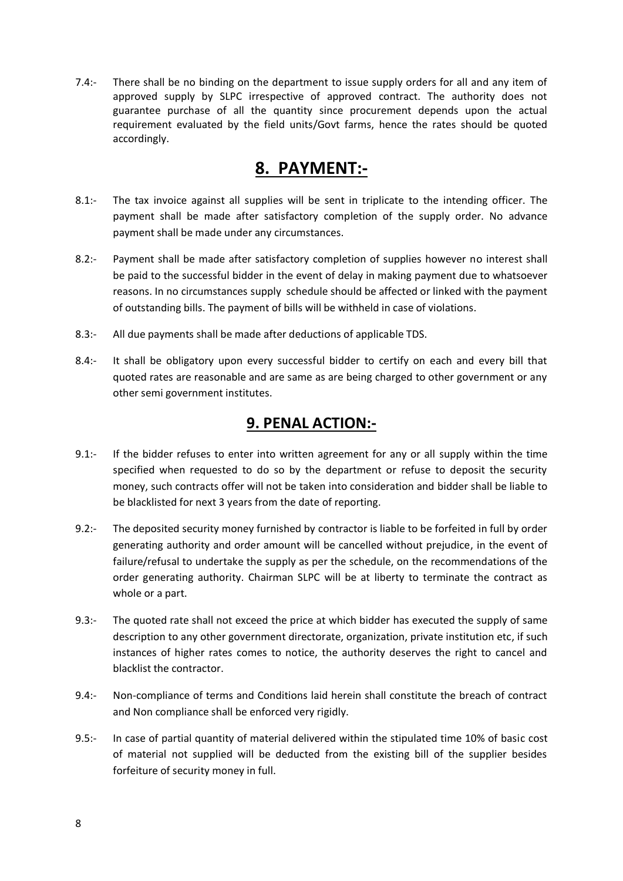7.4:- There shall be no binding on the department to issue supply orders for all and any item of approved supply by SLPC irrespective of approved contract. The authority does not guarantee purchase of all the quantity since procurement depends upon the actual requirement evaluated by the field units/Govt farms, hence the rates should be quoted accordingly.

# **8. PAYMENT:-**

- 8.1:- The tax invoice against all supplies will be sent in triplicate to the intending officer. The payment shall be made after satisfactory completion of the supply order. No advance payment shall be made under any circumstances.
- 8.2:- Payment shall be made after satisfactory completion of supplies however no interest shall be paid to the successful bidder in the event of delay in making payment due to whatsoever reasons. In no circumstances supply schedule should be affected or linked with the payment of outstanding bills. The payment of bills will be withheld in case of violations.
- 8.3:- All due payments shall be made after deductions of applicable TDS.
- 8.4:- It shall be obligatory upon every successful bidder to certify on each and every bill that quoted rates are reasonable and are same as are being charged to other government or any other semi government institutes.

### **9. PENAL ACTION:-**

- 9.1:- If the bidder refuses to enter into written agreement for any or all supply within the time specified when requested to do so by the department or refuse to deposit the security money, such contracts offer will not be taken into consideration and bidder shall be liable to be blacklisted for next 3 years from the date of reporting.
- 9.2:- The deposited security money furnished by contractor is liable to be forfeited in full by order generating authority and order amount will be cancelled without prejudice, in the event of failure/refusal to undertake the supply as per the schedule, on the recommendations of the order generating authority. Chairman SLPC will be at liberty to terminate the contract as whole or a part.
- 9.3:- The quoted rate shall not exceed the price at which bidder has executed the supply of same description to any other government directorate, organization, private institution etc, if such instances of higher rates comes to notice, the authority deserves the right to cancel and blacklist the contractor.
- 9.4:- Non-compliance of terms and Conditions laid herein shall constitute the breach of contract and Non compliance shall be enforced very rigidly.
- 9.5:- In case of partial quantity of material delivered within the stipulated time 10% of basic cost of material not supplied will be deducted from the existing bill of the supplier besides forfeiture of security money in full.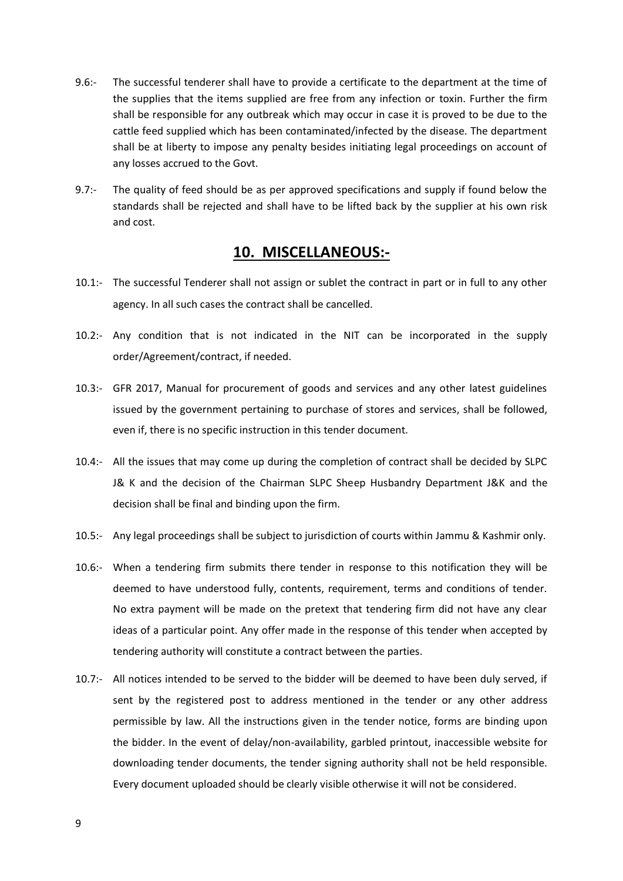- 9.6:- The successful tenderer shall have to provide a certificate to the department at the time of the supplies that the items supplied are free from any infection or toxin. Further the firm shall be responsible for any outbreak which may occur in case it is proved to be due to the cattle feed supplied which has been contaminated/infected by the disease. The department shall be at liberty to impose any penalty besides initiating legal proceedings on account of any losses accrued to the Govt.
- 9.7:- The quality of feed should be as per approved specifications and supply if found below the standards shall be rejected and shall have to be lifted back by the supplier at his own risk and cost.

### **10. MISCELLANEOUS:-**

- 10.1:- The successful Tenderer shall not assign or sublet the contract in part or in full to any other agency. In all such cases the contract shall be cancelled.
- 10.2:- Any condition that is not indicated in the NIT can be incorporated in the supply order/Agreement/contract, if needed.
- 10.3:- GFR 2017, Manual for procurement of goods and services and any other latest guidelines issued by the government pertaining to purchase of stores and services, shall be followed, even if, there is no specific instruction in this tender document.
- 10.4:- All the issues that may come up during the completion of contract shall be decided by SLPC J& K and the decision of the Chairman SLPC Sheep Husbandry Department J&K and the decision shall be final and binding upon the firm.
- 10.5:- Any legal proceedings shall be subject to jurisdiction of courts within Jammu & Kashmir only.
- 10.6:- When a tendering firm submits there tender in response to this notification they will be deemed to have understood fully, contents, requirement, terms and conditions of tender. No extra payment will be made on the pretext that tendering firm did not have any clear ideas of a particular point. Any offer made in the response of this tender when accepted by tendering authority will constitute a contract between the parties.
- 10.7:- All notices intended to be served to the bidder will be deemed to have been duly served, if sent by the registered post to address mentioned in the tender or any other address permissible by law. All the instructions given in the tender notice, forms are binding upon the bidder. In the event of delay/non-availability, garbled printout, inaccessible website for downloading tender documents, the tender signing authority shall not be held responsible. Every document uploaded should be clearly visible otherwise it will not be considered.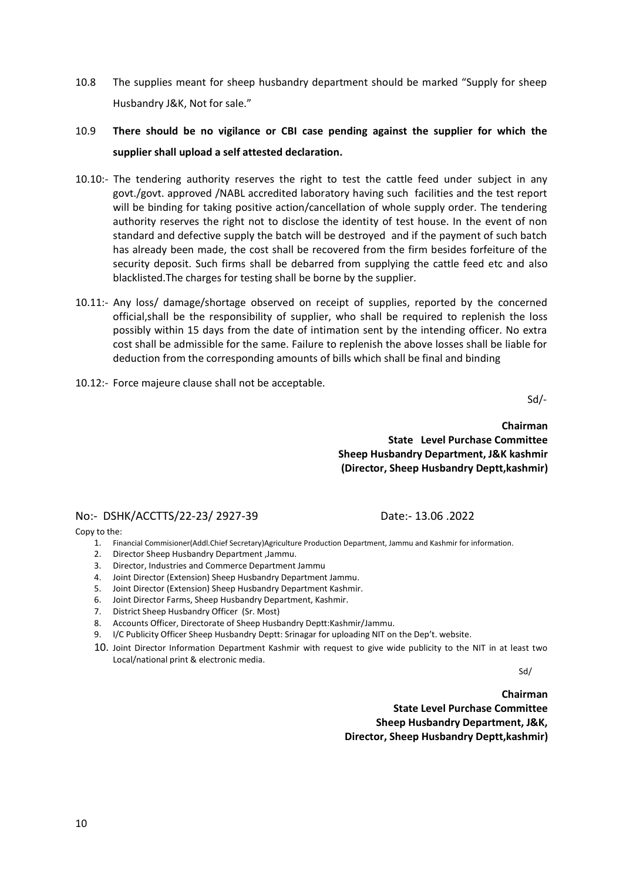- 10.8 The supplies meant for sheep husbandry department should be marked "Supply for sheep Husbandry J&K, Not for sale."
- 10.9 **There should be no vigilance or CBI case pending against the supplier for which the supplier shall upload a self attested declaration.**
- 10.10:- The tendering authority reserves the right to test the cattle feed under subject in any govt./govt. approved /NABL accredited laboratory having such facilities and the test report will be binding for taking positive action/cancellation of whole supply order. The tendering authority reserves the right not to disclose the identity of test house. In the event of non standard and defective supply the batch will be destroyed and if the payment of such batch has already been made, the cost shall be recovered from the firm besides forfeiture of the security deposit. Such firms shall be debarred from supplying the cattle feed etc and also blacklisted.The charges for testing shall be borne by the supplier.
- 10.11:- Any loss/ damage/shortage observed on receipt of supplies, reported by the concerned official,shall be the responsibility of supplier, who shall be required to replenish the loss possibly within 15 days from the date of intimation sent by the intending officer. No extra cost shall be admissible for the same. Failure to replenish the above losses shall be liable for deduction from the corresponding amounts of bills which shall be final and binding
- 10.12:- Force majeure clause shall not be acceptable.

Sd/-

**Chairman State Level Purchase Committee Sheep Husbandry Department, J&K kashmir (Director, Sheep Husbandry Deptt,kashmir)**

No:- DSHK/ACCTTS/22-23/ 2927-39 Date:- 13.06 .2022

Copy to the:

- 1. Financial Commisioner(Addl.Chief Secretary)Agriculture Production Department, Jammu and Kashmir for information.
- 2. Director Sheep Husbandry Department ,Jammu.
- 3. Director, Industries and Commerce Department Jammu
- 4. Joint Director (Extension) Sheep Husbandry Department Jammu.
- 5. Joint Director (Extension) Sheep Husbandry Department Kashmir.
- 6. Joint Director Farms, Sheep Husbandry Department, Kashmir.
- 7. District Sheep Husbandry Officer (Sr. Most)
- 8. Accounts Officer, Directorate of Sheep Husbandry Deptt:Kashmir/Jammu.
- 9. I/C Publicity Officer Sheep Husbandry Deptt: Srinagar for uploading NIT on the Dep't. website.
- 10. Joint Director Information Department Kashmir with request to give wide publicity to the NIT in at least two Local/national print & electronic media.

Sd/

**Chairman State Level Purchase Committee Sheep Husbandry Department, J&K, Director, Sheep Husbandry Deptt,kashmir)**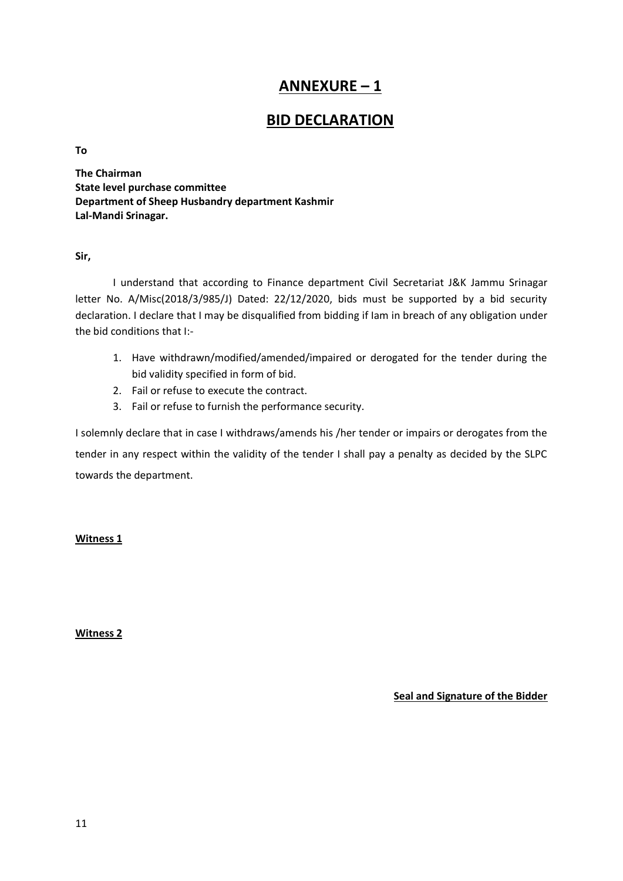## **ANNEXURE – 1**

### **BID DECLARATION**

**To** 

**The Chairman State level purchase committee Department of Sheep Husbandry department Kashmir Lal-Mandi Srinagar.**

**Sir,**

I understand that according to Finance department Civil Secretariat J&K Jammu Srinagar letter No. A/Misc(2018/3/985/J) Dated: 22/12/2020, bids must be supported by a bid security declaration. I declare that I may be disqualified from bidding if Iam in breach of any obligation under the bid conditions that I:-

- 1. Have withdrawn/modified/amended/impaired or derogated for the tender during the bid validity specified in form of bid.
- 2. Fail or refuse to execute the contract.
- 3. Fail or refuse to furnish the performance security.

I solemnly declare that in case I withdraws/amends his /her tender or impairs or derogates from the tender in any respect within the validity of the tender I shall pay a penalty as decided by the SLPC towards the department.

#### **Witness 1**

**Witness 2**

**Seal and Signature of the Bidder**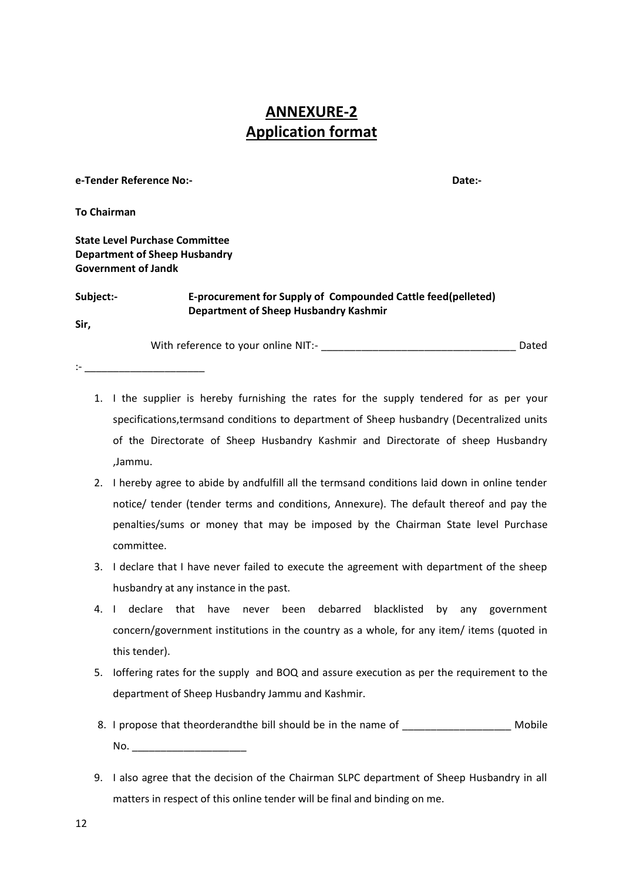# **ANNEXURE-2 Application format**

**e-Tender Reference No:- Date:-**

**To Chairman** 

**State Level Purchase Committee Department of Sheep Husbandry Government of Jandk**

:- \_\_\_\_\_\_\_\_\_\_\_\_\_\_\_\_\_\_\_\_\_

#### **Subject:- E-procurement for Supply of Compounded Cattle feed(pelleted) Department of Sheep Husbandry Kashmir**

**Sir,**

With reference to your online NIT:- The same of the state of the Dated

- 1. I the supplier is hereby furnishing the rates for the supply tendered for as per your
	- specifications,termsand conditions to department of Sheep husbandry (Decentralized units of the Directorate of Sheep Husbandry Kashmir and Directorate of sheep Husbandry ,Jammu.
	- 2. I hereby agree to abide by andfulfill all the termsand conditions laid down in online tender notice/ tender (tender terms and conditions, Annexure). The default thereof and pay the penalties/sums or money that may be imposed by the Chairman State level Purchase committee.
	- 3. I declare that I have never failed to execute the agreement with department of the sheep husbandry at any instance in the past.
	- 4. I declare that have never been debarred blacklisted by any government concern/government institutions in the country as a whole, for any item/ items (quoted in this tender).
	- 5. Ioffering rates for the supply and BOQ and assure execution as per the requirement to the department of Sheep Husbandry Jammu and Kashmir.
	- 8. I propose that theorderandthe bill should be in the name of \_\_\_\_\_\_\_\_\_\_\_\_\_\_\_\_\_\_\_ Mobile No. \_\_\_\_\_\_\_\_\_\_\_\_\_\_\_\_\_\_\_\_
	- 9. I also agree that the decision of the Chairman SLPC department of Sheep Husbandry in all matters in respect of this online tender will be final and binding on me.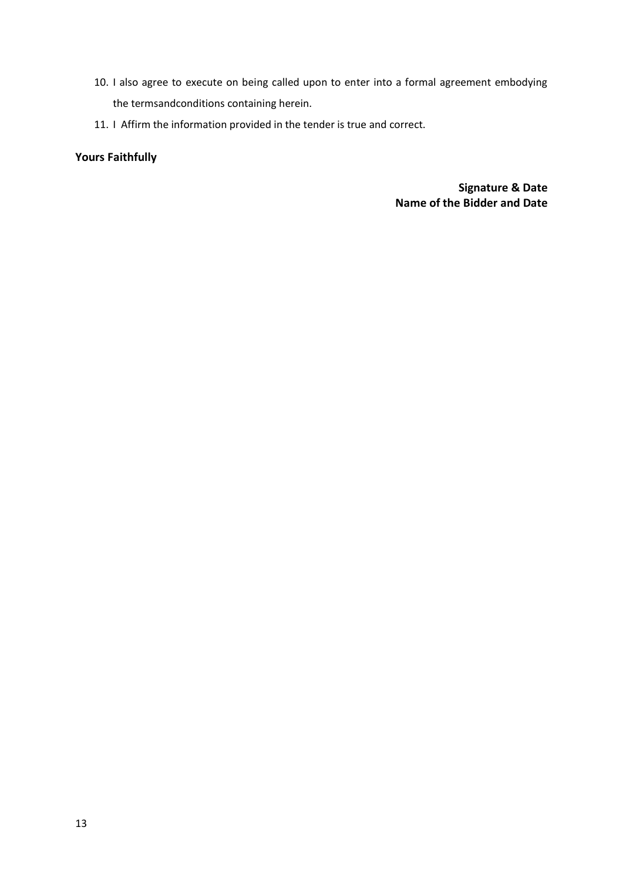- 10. I also agree to execute on being called upon to enter into a formal agreement embodying the termsandconditions containing herein.
- 11. I Affirm the information provided in the tender is true and correct.

### **Yours Faithfully**

**Signature & Date Name of the Bidder and Date**